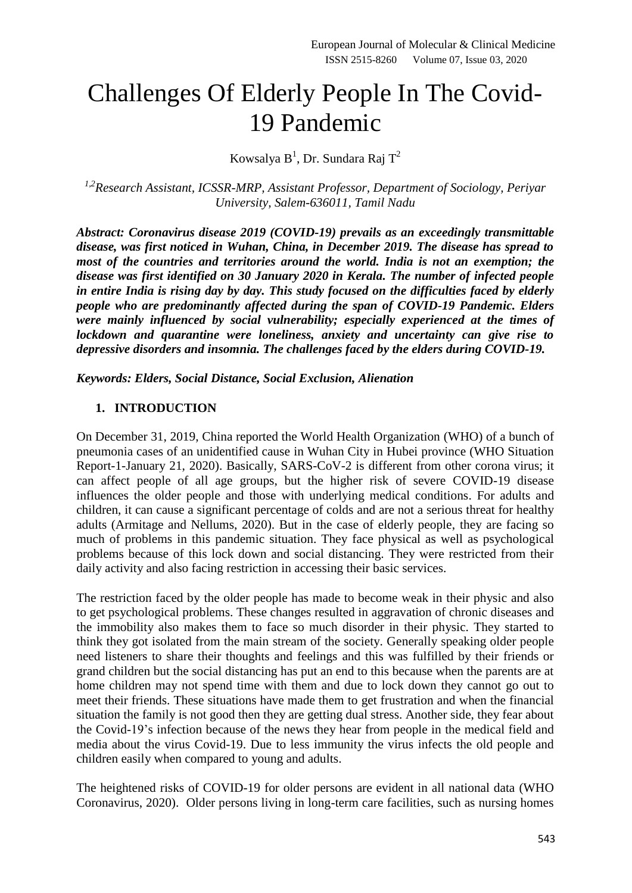# Challenges Of Elderly People In The Covid-19 Pandemic

Kowsalya  $B^1$ , Dr. Sundara Raj T<sup>2</sup>

*1,2Research Assistant, ICSSR-MRP, Assistant Professor, Department of Sociology, Periyar University, Salem-636011, Tamil Nadu*

*Abstract: Coronavirus disease 2019 (COVID-19) prevails as an exceedingly transmittable disease, was first noticed in Wuhan, China, in December 2019. The disease has spread to most of the countries and territories around the world. India is not an exemption; the disease was first identified on 30 January 2020 in Kerala. The number of infected people in entire India is rising day by day. This study focused on the difficulties faced by elderly people who are predominantly affected during the span of COVID-19 Pandemic. Elders were mainly influenced by social vulnerability; especially experienced at the times of lockdown and quarantine were loneliness, anxiety and uncertainty can give rise to depressive disorders and insomnia. The challenges faced by the elders during COVID-19.*

*Keywords: Elders, Social Distance, Social Exclusion, Alienation*

# **1. INTRODUCTION**

On December 31, 2019, China reported the World Health Organization (WHO) of a bunch of pneumonia cases of an unidentified cause in Wuhan City in Hubei province (WHO Situation Report-1-January 21, 2020). Basically, SARS-CoV-2 is different from other corona virus; it can affect people of all age groups, but the higher risk of severe COVID-19 disease influences the older people and those with underlying medical conditions. For adults and children, it can cause a significant percentage of colds and are not a serious threat for healthy adults (Armitage and Nellums, 2020). But in the case of elderly people, they are facing so much of problems in this pandemic situation. They face physical as well as psychological problems because of this lock down and social distancing. They were restricted from their daily activity and also facing restriction in accessing their basic services.

The restriction faced by the older people has made to become weak in their physic and also to get psychological problems. These changes resulted in aggravation of chronic diseases and the immobility also makes them to face so much disorder in their physic. They started to think they got isolated from the main stream of the society. Generally speaking older people need listeners to share their thoughts and feelings and this was fulfilled by their friends or grand children but the social distancing has put an end to this because when the parents are at home children may not spend time with them and due to lock down they cannot go out to meet their friends. These situations have made them to get frustration and when the financial situation the family is not good then they are getting dual stress. Another side, they fear about the Covid-19's infection because of the news they hear from people in the medical field and media about the virus Covid-19. Due to less immunity the virus infects the old people and children easily when compared to young and adults.

The heightened risks of COVID-19 for older persons are evident in all national data (WHO Coronavirus, 2020). Older persons living in long-term care facilities, such as nursing homes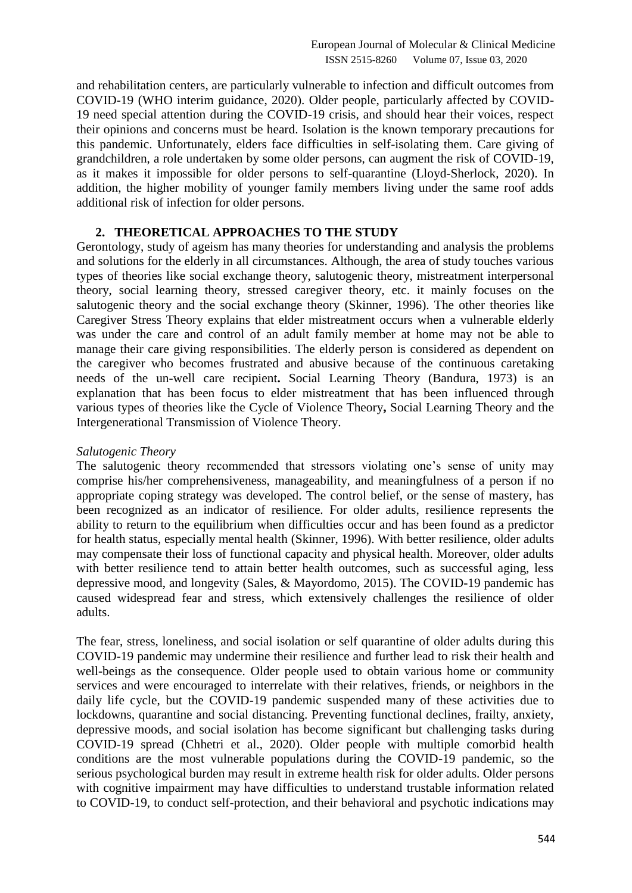and rehabilitation centers, are particularly vulnerable to infection and difficult outcomes from COVID-19 (WHO interim guidance, 2020). Older people, particularly affected by COVID-19 need special attention during the COVID-19 crisis, and should hear their voices, respect their opinions and concerns must be heard. Isolation is the known temporary precautions for this pandemic. Unfortunately, elders face difficulties in self-isolating them. Care giving of grandchildren, a role undertaken by some older persons, can augment the risk of COVID-19, as it makes it impossible for older persons to self-quarantine (Lloyd-Sherlock, 2020). In addition, the higher mobility of younger family members living under the same roof adds additional risk of infection for older persons.

# **2. THEORETICAL APPROACHES TO THE STUDY**

Gerontology, study of ageism has many theories for understanding and analysis the problems and solutions for the elderly in all circumstances. Although, the area of study touches various types of theories like social exchange theory, salutogenic theory, mistreatment interpersonal theory, social learning theory, stressed caregiver theory, etc. it mainly focuses on the salutogenic theory and the social exchange theory [\(Skinner, 1996\)](https://www.ncbi.nlm.nih.gov/pmc/articles/PMC7247489/#bib0090). The other theories like Caregiver Stress Theory explains that elder mistreatment occurs when a vulnerable elderly was under the care and control of an adult family member at home may not be able to manage their care giving responsibilities. The elderly person is considered as dependent on the caregiver who becomes frustrated and abusive because of the continuous caretaking needs of the un-well care recipient**.** Social Learning Theory (Bandura, 1973) is an explanation that has been focus to elder mistreatment that has been influenced through various types of theories like the Cycle of Violence Theory**,** Social Learning Theory and the Intergenerational Transmission of Violence Theory.

#### *Salutogenic Theory*

The salutogenic theory recommended that stressors violating one's sense of unity may comprise his/her comprehensiveness, manageability, and meaningfulness of a person if no appropriate coping strategy was developed. The control belief, or the sense of mastery, has been recognized as an indicator of resilience. For older adults, resilience represents the ability to return to the equilibrium when difficulties occur and has been found as a predictor for health status, especially mental health [\(Skinner, 1996\)](https://www.ncbi.nlm.nih.gov/pmc/articles/PMC7247489/#bib0090). With better resilience, older adults may compensate their loss of functional capacity and physical health. Moreover, older adults with better resilience tend to attain better health outcomes, such as successful aging, less depressive mood, and longevity (Sales, & Mayordomo, 2015). The COVID-19 pandemic has caused widespread fear and stress, which extensively challenges the resilience of older adults.

The fear, stress, loneliness, and social isolation or self quarantine of older adults during this COVID-19 pandemic may undermine their resilience and further lead to risk their health and well-beings as the consequence. Older people used to obtain various home or community services and were encouraged to interrelate with their relatives, friends, or neighbors in the daily life cycle, but the COVID-19 pandemic suspended many of these activities due to lockdowns, quarantine and social distancing. Preventing functional declines, frailty, anxiety, depressive moods, and social isolation has become significant but challenging tasks during COVID-19 spread [\(Chhetri et al., 2020\)](https://www.ncbi.nlm.nih.gov/pmc/articles/PMC7247489/#bib0010). Older people with multiple comorbid health conditions are the most vulnerable populations during the COVID-19 pandemic, so the serious psychological burden may result in extreme health risk for older adults. Older persons with cognitive impairment may have difficulties to understand trustable information related to COVID-19, to conduct self-protection, and their behavioral and psychotic indications may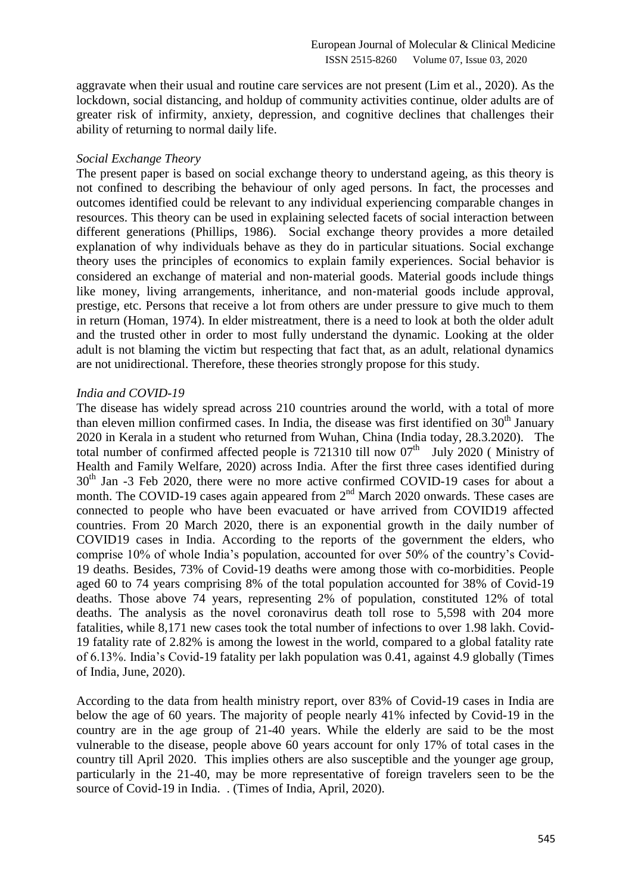aggravate when their usual and routine care services are not present [\(Lim et al., 2020\)](https://www.ncbi.nlm.nih.gov/pmc/articles/PMC7247489/#bib0030). As the lockdown, social distancing, and holdup of community activities continue, older adults are of greater risk of infirmity, anxiety, depression, and cognitive declines that challenges their ability of returning to normal daily life.

#### *Social Exchange Theory*

The present paper is based on social exchange theory to understand ageing, as this theory is not confined to describing the behaviour of only aged persons. In fact, the processes and outcomes identified could be relevant to any individual experiencing comparable changes in resources. This theory can be used in explaining selected facets of social interaction between different generations (Phillips, 1986). Social exchange theory provides a more detailed explanation of why individuals behave as they do in particular situations. Social exchange theory uses the principles of economics to explain family experiences. Social behavior is considered an exchange of material and non‐material goods. Material goods include things like money, living arrangements, inheritance, and non‐material goods include approval, prestige, etc. Persons that receive a lot from others are under pressure to give much to them in return (Homan, 1974). In elder mistreatment, there is a need to look at both the older adult and the trusted other in order to most fully understand the dynamic. Looking at the older adult is not blaming the victim but respecting that fact that, as an adult, relational dynamics are not unidirectional. Therefore, these theories strongly propose for this study.

# *India and COVID-19*

The disease has widely spread across 210 countries around the world, with a total of more than eleven million confirmed cases. In India, the disease was first identified on  $30<sup>th</sup>$  January 2020 in Kerala in a student who returned from Wuhan, China (India today, 28.3.2020). The total number of confirmed affected people is 721310 till now  $07<sup>th</sup>$  July 2020 (Ministry of [Health and Family Welfare, 2](https://www.mohfw.gov.in/)020) across India. After the first three cases identified during 30<sup>th</sup> Jan -3 Feb 2020, there were no more active confirmed COVID-19 cases for about a month. The COVID-19 cases again appeared from  $2<sup>nd</sup>$  March 2020 onwards. These cases are connected to people who have been evacuated or have arrived from COVID19 affected countries. From 20 March 2020, there is an exponential growth in the daily number of COVID19 cases in India. According to the reports of the government the elders, who comprise 10% of whole India's population, accounted for over 50% of the country's Covid-19 deaths. Besides, 73% of Covid-19 deaths were among those with co-morbidities. People aged 60 to 74 years comprising 8% of the total population accounted for 38% of Covid-19 deaths. Those above 74 years, representing 2% of population, constituted 12% of total deaths. The analysis as the novel coronavirus death toll rose to 5,598 with 204 more fatalities, while 8,171 new cases took the total number of infections to over 1.98 lakh. Covid-19 fatality rate of 2.82% is among the lowest in the world, compared to a global fatality rate of 6.13%. India's Covid-19 fatality per lakh population was 0.41, against 4.9 globally (Times of India, June, 2020).

According to the data from health ministry report, over 83% of Covid-19 cases in India are below the age of 60 years. The majority of people nearly 41% infected by Covid-19 in the country are in the age group of 21-40 years. While the elderly are said to be the most vulnerable to the disease, people above 60 years account for only 17% of total cases in the country till April 2020. This implies others are also susceptible and the younger age group, particularly in the 21-40, may be more representative of foreign travelers seen to be the source of Covid-19 in India. . (Times of India, April, 2020).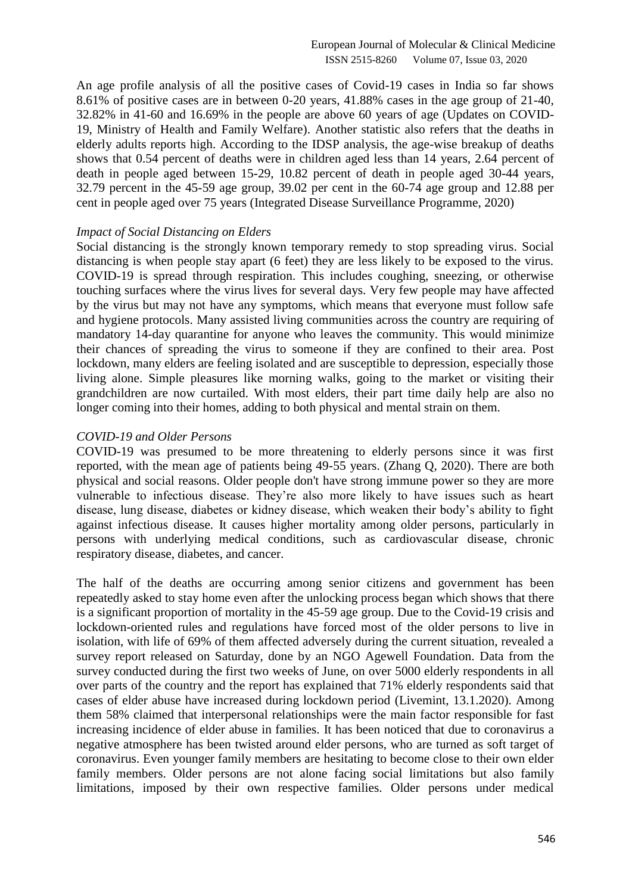An age profile analysis of all the positive cases of Covid-19 cases in India so far shows 8.61% of positive cases are in between 0-20 years, 41.88% cases in the age group of 21-40, 32.82% in 41-60 and 16.69% in the people are above 60 years of age (Updates on COVID-19, Ministry of Health and Family Welfare). Another statistic also refers that the deaths in elderly adults reports high. According to the IDSP analysis, the age-wise breakup of deaths shows that 0.54 percent of deaths were in children aged less than 14 years, 2.64 percent of death in people aged between 15-29, 10.82 percent of death in people aged 30-44 years, 32.79 percent in the 45-59 age group, 39.02 per cent in the 60-74 age group and 12.88 per cent in people aged over 75 years [\(Integrated Disease Surveillance Programme, 2020\)](https://idsp.nic.in/)

#### *Impact of Social Distancing on Elders*

Social distancing is the strongly known temporary remedy to stop spreading virus. Social distancing is when people stay apart (6 feet) they are less likely to be exposed to the virus. COVID-19 is spread through respiration. This includes coughing, sneezing, or otherwise touching surfaces where the virus lives for several days. Very few people may have affected by the virus but may not have any symptoms, which means that everyone must follow safe and hygiene protocols. Many assisted living communities across the country are requiring of mandatory 14-day quarantine for anyone who leaves the community. This would minimize their chances of spreading the virus to someone if they are confined to their area. Post lockdown, many elders are feeling isolated and are susceptible to depression, especially those living alone. Simple pleasures like morning walks, going to the market or visiting their grandchildren are now curtailed. With most elders, their part time daily help are also no longer coming into their homes, adding to both physical and mental strain on them.

# *COVID-19 and Older Persons*

COVID-19 was presumed to be more threatening to elderly persons since it was first reported, with the mean age of patients being 49-55 years. (Zhang Q, 2020). There are both physical and social reasons. Older people don't have strong immune power so they are more vulnerable to infectious disease. They're also more likely to have issues such as heart disease, lung disease, diabetes or kidney disease, which weaken their body's ability to fight against infectious disease. It causes higher mortality among older persons, particularly in persons with underlying medical conditions, such as cardiovascular disease, chronic respiratory disease, diabetes, and cancer.

The half of the deaths are occurring among senior citizens and government has been repeatedly asked to stay home even after the unlocking process began which shows that there is a significant proportion of mortality in the 45-59 age group. Due to the Covid-19 crisis and lockdown-oriented rules and regulations have forced most of the older persons to live in isolation, with life of 69% of them affected adversely during the current situation, revealed a survey report released on Saturday, done by an NGO Agewell Foundation. Data from the survey conducted during the first two weeks of June, on over 5000 elderly respondents in all over parts of the country and the report has explained that 71% elderly respondents said that cases of elder abuse have increased during lockdown period (Livemint, 13.1.2020). Among them 58% claimed that interpersonal relationships were the main factor responsible for fast increasing incidence of elder abuse in families. It has been noticed that due to coronavirus a negative atmosphere has been twisted around elder persons, who are turned as soft target of coronavirus. Even younger family members are hesitating to become close to their own elder family members. Older persons are not alone facing social limitations but also family limitations, imposed by their own respective families. Older persons under medical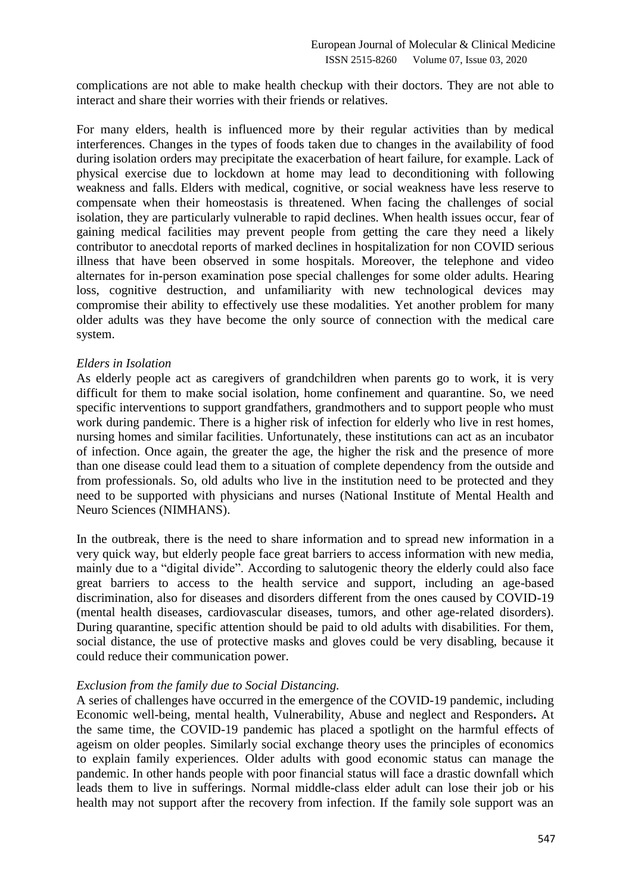complications are not able to make health checkup with their doctors. They are not able to interact and share their worries with their friends or relatives.

For many elders, health is influenced more by their regular activities than by medical interferences. Changes in the types of foods taken due to changes in the availability of food during isolation orders may precipitate the exacerbation of heart failure, for example. Lack of physical exercise due to lockdown at home may lead to deconditioning with following weakness and falls. Elders with medical, cognitive, or social weakness have less reserve to compensate when their homeostasis is threatened. When facing the challenges of social isolation, they are particularly vulnerable to rapid declines. When health issues occur, fear of gaining medical facilities may prevent people from getting the care they need a likely contributor to anecdotal reports of marked declines in hospitalization for non COVID serious illness that have been observed in some hospitals. Moreover, the telephone and video alternates for in-person examination pose special challenges for some older adults. Hearing loss, cognitive destruction, and unfamiliarity with new technological devices may compromise their ability to effectively use these modalities. Yet another problem for many older adults was they have become the only source of connection with the medical care system.

# *Elders in Isolation*

As elderly people act as caregivers of grandchildren when parents go to work, it is very difficult for them to make social isolation, home confinement and quarantine. So, we need specific interventions to support grandfathers, grandmothers and to support people who must work during pandemic. There is a higher risk of infection for elderly who live in rest homes, nursing homes and similar facilities. Unfortunately, these institutions can act as an incubator of infection. Once again, the greater the age, the higher the risk and the presence of more than one disease could lead them to a situation of complete dependency from the outside and from professionals. So, old adults who live in the institution need to be protected and they need to be supported with physicians and nurses (National Institute of Mental Health and Neuro Sciences (NIMHANS).

In the outbreak, there is the need to share information and to spread new information in a very quick way, but elderly people face great barriers to access information with new media, mainly due to a "digital divide". According to salutogenic theory the elderly could also face great barriers to access to the health service and support, including an age-based discrimination, also for diseases and disorders different from the ones caused by COVID-19 (mental health diseases, cardiovascular diseases, tumors, and other age-related disorders). During quarantine, specific attention should be paid to old adults with disabilities. For them, social distance, the use of protective masks and gloves could be very disabling, because it could reduce their communication power.

#### *Exclusion from the family due to Social Distancing.*

A series of challenges have occurred in the emergence of the COVID-19 pandemic, including Economic well-being, mental health, Vulnerability, Abuse and neglect and Responders**.** At the same time, the COVID-19 pandemic has placed a spotlight on the harmful effects of ageism on older peoples. Similarly social exchange theory uses the principles of economics to explain family experiences. Older adults with good economic status can manage the pandemic. In other hands people with poor financial status will face a drastic downfall which leads them to live in sufferings. Normal middle-class elder adult can lose their job or his health may not support after the recovery from infection. If the family sole support was an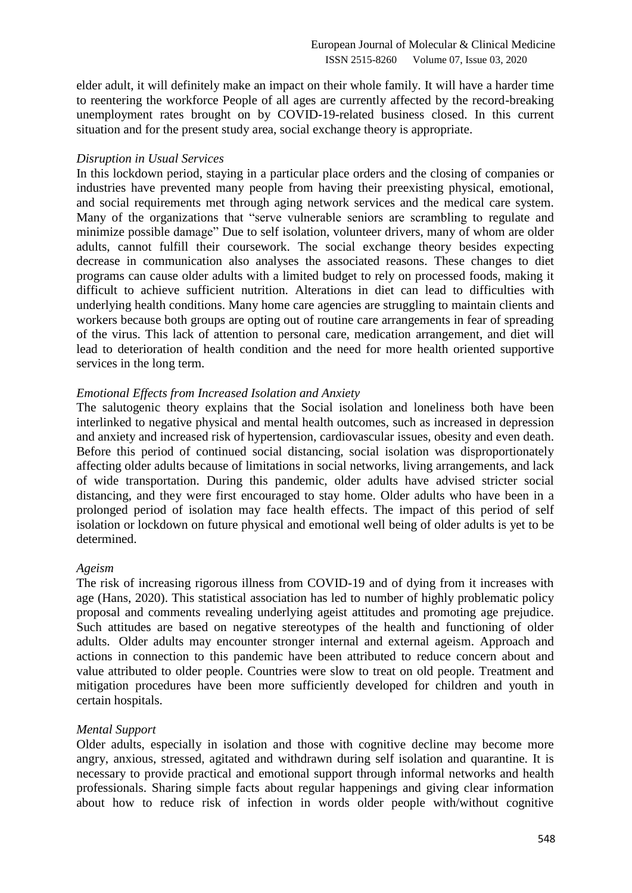elder adult, it will definitely make an impact on their whole family. It will have a harder time to reentering the workforce People of all ages are currently affected by the record-breaking unemployment rates brought on by COVID-19-related business closed. In this current situation and for the present study area, social exchange theory is appropriate.

#### *Disruption in Usual Services*

In this lockdown period, staying in a particular place orders and the closing of companies or industries have prevented many people from having their preexisting physical, emotional, and social requirements met through aging network services and the medical care system. Many of the organizations that "serve vulnerable seniors are scrambling to regulate and minimize possible damage" Due to self isolation, volunteer drivers, many of whom are older adults, cannot fulfill their coursework. The social exchange theory besides expecting decrease in communication also analyses the associated reasons. These changes to diet programs can cause older adults with a limited budget to rely on processed foods, making it difficult to achieve sufficient nutrition. Alterations in diet can lead to difficulties with underlying health conditions. Many home care agencies are struggling to maintain clients and workers because both groups are opting out of routine care arrangements in fear of spreading of the virus. This lack of attention to personal care, medication arrangement, and diet will lead to deterioration of health condition and the need for more health oriented supportive services in the long term.

# *Emotional Effects from Increased Isolation and Anxiety*

The salutogenic theory explains that the Social isolation and loneliness both have been interlinked to negative physical and mental health outcomes, such as increased in depression and anxiety and increased risk of hypertension, cardiovascular issues, obesity and even death. Before this period of continued social distancing, social isolation was disproportionately affecting older adults because of limitations in social networks, living arrangements, and lack of wide transportation. During this pandemic, older adults have advised stricter social distancing, and they were first encouraged to stay home. Older adults who have been in a prolonged period of isolation may face health effects. The impact of this period of self isolation or lockdown on future physical and emotional well being of older adults is yet to be determined.

#### *Ageism*

The risk of increasing rigorous illness from COVID-19 and of dying from it increases with age (Hans, [2020\)](https://www.tandfonline.com/doi/full/10.1080/08959420.2020.1770032). This statistical association has led to number of highly problematic policy proposal and comments revealing underlying ageist attitudes and promoting age prejudice. Such attitudes are based on negative stereotypes of the health and functioning of older adults. Older adults may encounter stronger internal and external ageism. Approach and actions in connection to this pandemic have been attributed to reduce concern about and value attributed to older people. Countries were slow to treat on old people. Treatment and mitigation procedures have been more sufficiently developed for children and youth in certain hospitals.

#### *Mental Support*

Older adults, especially in isolation and those with cognitive decline may become more angry, anxious, stressed, agitated and withdrawn during self isolation and quarantine. It is necessary to provide practical and emotional support through informal networks and health professionals. Sharing simple facts about regular happenings and giving clear information about how to reduce risk of infection in words older people with/without cognitive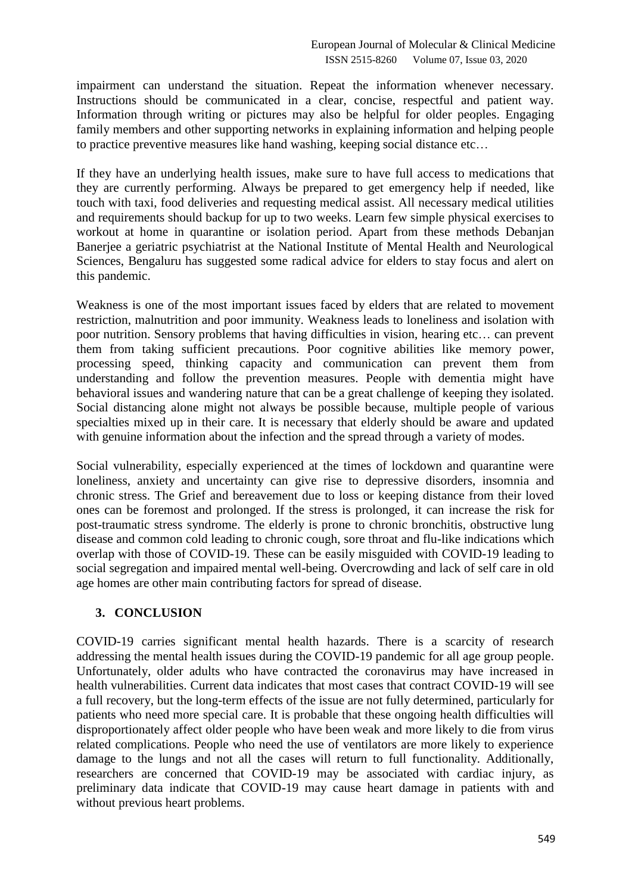impairment can understand the situation. Repeat the information whenever necessary. Instructions should be communicated in a clear, concise, respectful and patient way. Information through writing or pictures may also be helpful for older peoples. Engaging family members and other supporting networks in explaining information and helping people to practice preventive measures like hand washing, keeping social distance etc…

If they have an underlying health issues, make sure to have full access to medications that they are currently performing. Always be prepared to get emergency help if needed, like touch with taxi, food deliveries and requesting medical assist. All necessary medical utilities and requirements should backup for up to two weeks. Learn few simple physical exercises to workout at home in quarantine or isolation period. Apart from these methods Debanjan Banerjee a geriatric psychiatrist at the National Institute of Mental Health and Neurological Sciences, Bengaluru has suggested some radical advice for elders to stay focus and alert on this pandemic.

Weakness is one of the most important issues faced by elders that are related to movement restriction, malnutrition and poor immunity. Weakness leads to loneliness and isolation with poor nutrition. Sensory problems that having difficulties in vision, hearing etc… can prevent them from taking sufficient precautions. Poor cognitive abilities like memory power, processing speed, thinking capacity and communication can prevent them from understanding and follow the prevention measures. People with dementia might have behavioral issues and wandering nature that can be a great challenge of keeping they isolated. Social distancing alone might not always be possible because, multiple people of various specialties mixed up in their care. It is necessary that elderly should be aware and updated with genuine information about the infection and the spread through a variety of modes.

Social vulnerability, especially experienced at the times of lockdown and quarantine were loneliness, anxiety and uncertainty can give rise to depressive disorders, insomnia and chronic stress. The Grief and bereavement due to loss or keeping distance from their loved ones can be foremost and prolonged. If the stress is prolonged, it can increase the risk for post-traumatic stress syndrome. The elderly is prone to chronic bronchitis, obstructive lung disease and common cold leading to chronic cough, sore throat and flu-like indications which overlap with those of COVID-19. These can be easily misguided with COVID-19 leading to social segregation and impaired mental well-being. Overcrowding and lack of self care in old age homes are other main contributing factors for spread of disease.

# **3. CONCLUSION**

COVID-19 carries significant mental health hazards. There is a scarcity of research addressing the mental health issues during the COVID-19 pandemic for all age group people. Unfortunately, older adults who have contracted the coronavirus may have increased in health vulnerabilities. Current data indicates that most cases that contract COVID-19 will see a full recovery, but the long-term effects of the issue are not fully determined, particularly for patients who need more special care. It is probable that these ongoing health difficulties will disproportionately affect older people who have been weak and more likely to die from virus related complications. People who need the use of ventilators are more likely to experience damage to the lungs and not all the cases will return to full functionality. Additionally, researchers are concerned that COVID-19 may be associated with cardiac injury, as preliminary data indicate that COVID-19 may cause heart damage in patients with and without previous heart problems.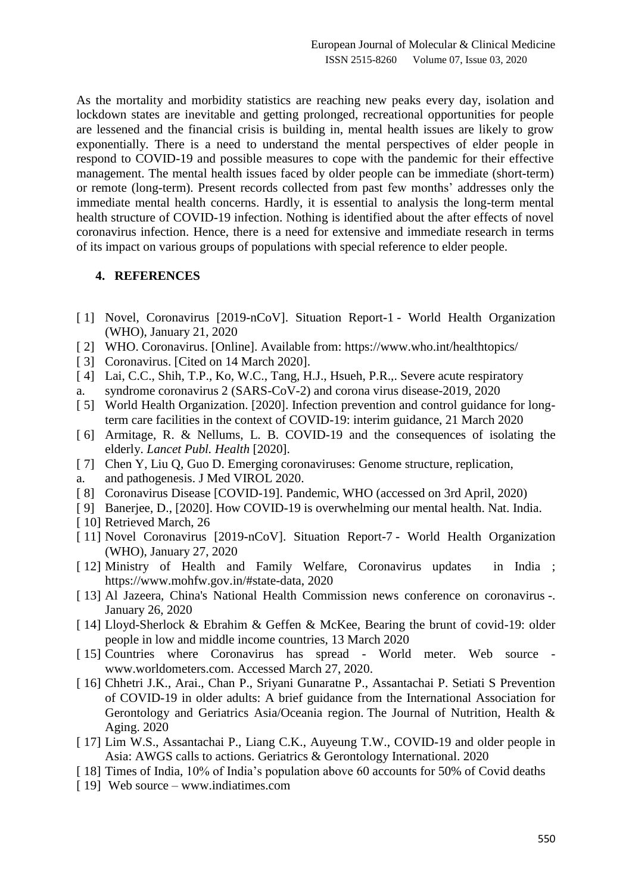As the mortality and morbidity statistics are reaching new peaks every day, isolation and lockdown states are inevitable and getting prolonged, recreational opportunities for people are lessened and the financial crisis is building in, mental health issues are likely to grow exponentially. There is a need to understand the mental perspectives of elder people in respond to COVID-19 and possible measures to cope with the pandemic for their effective management. The mental health issues faced by older people can be immediate (short-term) or remote (long-term). Present records collected from past few months' addresses only the immediate mental health concerns. Hardly, it is essential to analysis the long-term mental health structure of COVID-19 infection. Nothing is identified about the after effects of novel coronavirus infection. Hence, there is a need for extensive and immediate research in terms of its impact on various groups of populations with special reference to elder people.

# **4. REFERENCES**

- [ 1] Novel, Coronavirus [2019-nCoV]. Situation Report-1 World Health Organization (WHO), January 21, 2020
- [ 2] WHO. Coronavirus. [Online]. Available from: https://www.who.int/healthtopics/
- [ 3] Coronavirus. [Cited on 14 March 2020].
- [ 4] Lai, C.C., Shih, T.P., Ko, W.C., Tang, H.J., Hsueh, P.R.,. Severe acute respiratory a. syndrome coronavirus 2 (SARS-CoV-2) and corona virus disease-2019, 2020
- [5] World Health Organization. [2020]. Infection prevention and control guidance for longterm care facilities in the context of COVID-19: interim guidance, 21 March 2020
- [ 6] Armitage, R. & Nellums, L. B. COVID-19 and the consequences of isolating the elderly. *Lancet Publ. Health* [2020].
- [ 7] Chen Y, Liu Q, Guo D. Emerging coronaviruses: Genome structure, replication,
- a. and pathogenesis. J Med VIROL 2020.
- [ 8] Coronavirus Disease [COVID-19]. Pandemic, WHO (accessed on 3rd April, 2020)
- [ 9] Banerjee, D., [2020]. How COVID-19 is overwhelming our mental health. Nat. India.
- [10] Retrieved March, 26
- [ 11] [Novel Coronavirus \[2019-nCoV\].](https://www.who.int/docs/default-source/coronaviruse/situation-reports/20200127-sitrep-7-2019--ncov.pdf) Situation Report-7 World Health Organization (WHO), January 27, 2020
- [ 12] Ministry of Health and Family Welfare, Coronavirus updates in India ; [https://www.mohfw.gov.in/#state-data,](https://www.mohfw.gov.in/#state-data) 2020
- [ 13] Al Jazeera, [China's National Health Commission news conference on coronavirus](https://www.aljazeera.com/news/2020/01/chinas-national-health-commission-news-conference-coronavirus-200126105935024.html) -. January 26, 2020
- [ 14] Lloyd-Sherlock & Ebrahim & Geffen & McKee, Bearing the brunt of covid-19: older people in low and middle income countries, 13 March 2020
- [ 15] Countries where Coronavirus has spread World meter. Web source www.worldometers.com. Accessed March 27, 2020.
- [ 16] Chhetri J.K., Arai., Chan P., Sriyani Gunaratne P., Assantachai P. Setiati S Prevention of COVID-19 in older adults: A brief guidance from the International Association for Gerontology and Geriatrics Asia/Oceania region. The Journal of Nutrition, Health & Aging. 2020
- [ 17] Lim W.S., Assantachai P., Liang C.K., Auyeung T.W., COVID-19 and older people in Asia: AWGS calls to actions. Geriatrics & Gerontology International. 2020
- [ 18] Times of India, 10% of India's population above 60 accounts for 50% of Covid deaths
- [19] Web source www.indiatimes.com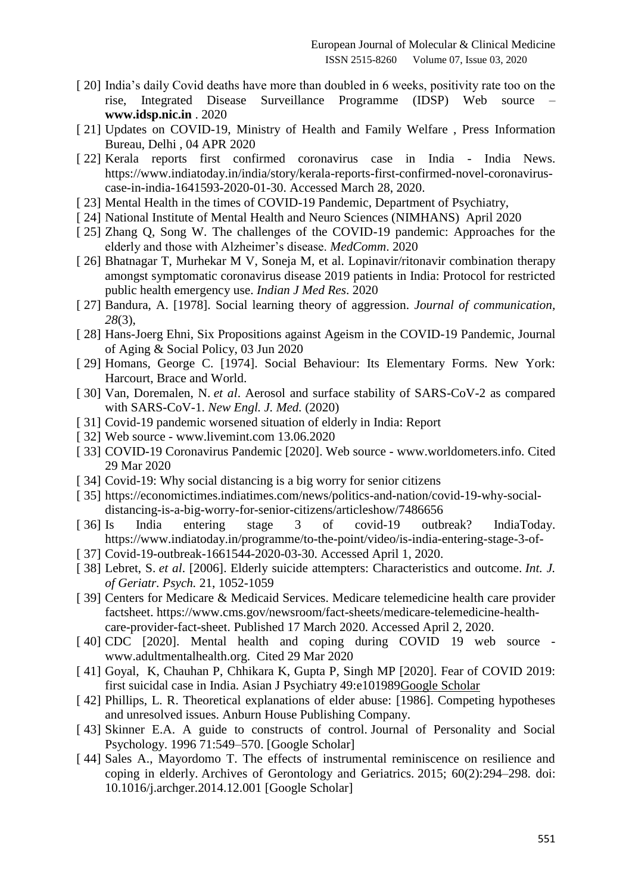- [20] India's daily Covid deaths have more than doubled in 6 weeks, positivity rate too on the rise, Integrated Disease Surveillance Programme (IDSP) Web source – **[www.idsp.nic.in](http://www.idsp.nic.in/)** . 2020
- [ 21] Updates on COVID-19, Ministry of Health and Family Welfare, Press Information Bureau, Delhi , 04 APR 2020
- [ 22] Kerala reports first confirmed coronavirus case in India India News. https://www.indiatoday.in/india/story/kerala-reports-first-confirmed-novel-coronaviruscase-in-india-1641593-2020-01-30. Accessed March 28, 2020.
- [ 23] Mental Health in the times of COVID-19 Pandemic, Department of Psychiatry,
- [ 24] National Institute of Mental Health and Neuro Sciences (NIMHANS) April 2020
- [ 25] Zhang Q, Song W. The challenges of the COVID-19 pandemic: Approaches for the elderly and those with Alzheimer's disease. *MedComm*. 2020
- [ 26] Bhatnagar T, Murhekar M V, Soneja M, et al. Lopinavir/ritonavir combination therapy amongst symptomatic coronavirus disease 2019 patients in India: Protocol for restricted public health emergency use. *Indian J Med Res*. 2020
- [ 27] Bandura, A. [1978]. Social learning theory of aggression. *Journal of communication, 28*(3),
- [ 28] Hans-Joerg Ehni, Six Propositions against Ageism in the COVID-19 Pandemic, Journal of Aging & Social Policy, 03 Jun 2020
- [ 29] Homans, George C. [1974]. Social Behaviour: Its Elementary Forms. New York: Harcourt, Brace and World.
- [ 30] Van, Doremalen, N. *et al*. Aerosol and surface stability of SARS-CoV-2 as compared with SARS-CoV-1. *New Engl. J. Med.* (2020)
- [ 31] Covid-19 pandemic worsened situation of elderly in India: Report
- [ 32] Web source www.livemint.com 13.06.2020
- [ 33] COVID-19 Coronavirus Pandemic [2020]. Web source www.worldometers.info. Cited 29 Mar 2020
- [ 34] Covid-19: Why social distancing is a big worry for senior citizens
- [ 35] https://economictimes.indiatimes.com/news/politics-and-nation/covid-19-why-socialdistancing-is-a-big-worry-for-senior-citizens/articleshow/7486656
- [ 36] Is India entering stage 3 of covid-19 outbreak? IndiaToday. https://www.indiatoday.in/programme/to-the-point/video/is-india-entering-stage-3-of-
- [ 37] Covid-19-outbreak-1661544-2020-03-30. Accessed April 1, 2020.
- [ 38] Lebret, S. *et al*. [2006]. Elderly suicide attempters: Characteristics and outcome. *Int. J. of Geriatr. Psych.* 21, 1052-1059
- [ 39] Centers for Medicare & Medicaid Services. Medicare telemedicine health care provider factsheet. [https://www.cms.gov/newsroom/fact-sheets/medicare-telemedicine-health](https://www.cms.gov/newsroom/fact-sheets/medicare-telemedicine-health-care-provider-fact-sheet)[care-provider-fact-sheet.](https://www.cms.gov/newsroom/fact-sheets/medicare-telemedicine-health-care-provider-fact-sheet) Published 17 March 2020. Accessed April 2, 2020.
- [40] CDC [2020]. Mental health and coping during COVID 19 web source [www.adultmentalhealth.org.](http://www.adultmentalhealth.org/) Cited 29 Mar 2020
- [ 41] Goyal, K, Chauhan P, Chhikara K, Gupta P, Singh MP [2020]. Fear of COVID 2019: first suicidal case in India. Asian J Psychiatry 49:e10198[9Google Scholar](http://scholar.google.com/scholar_lookup?title=Fear%20of%20COVID%202019%3A%20first%20suicidal%20case%20in%20India&author=K.%20Goyal&author=P.%20Chauhan&author=K.%20Chhikara&author=P.%20Gupta&author=MP.%20Singh&journal=Asian%20J%20Psychiatry&volume=49&publication_year=2020)
- [ 42] Phillips, L. R. Theoretical explanations of elder abuse: [1986]. Competing hypotheses and unresolved issues. Anburn House Publishing Company.
- [43] Skinner E.A. A guide to constructs of control. Journal of Personality and Social Psychology. 1996 71:549–570. [\[Google Scholar\]](https://scholar.google.com/scholar_lookup?journal=Journal+of+Personality+and+Social+Psychology&title=A+guide+to+constructs+of+control&author=E.A.+Skinner&volume=71&publication_year=1996&pages=549-570&pmid=8831161&)
- [44] Sales A., Mayordomo T. The effects of instrumental reminiscence on resilience and coping in elderly. Archives of Gerontology and Geriatrics. 2015; 60(2):294–298. doi: 10.1016/j.archger.2014.12.001 [\[Google Scholar\]](https://scholar.google.com/scholar_lookup?journal=Archives+of+Gerontology+and+Geriatrics&title=The+effects+of+instrumental+reminiscence+on+resilience+and+coping+in+elderly&author=J.C.+Mel%C3%A9ndez&author=F.B.+Fortuna&author=A.+Sales&author=T.+Mayordomo&volume=60&issue=2&publication_year=2015&pages=294-298&pmid=25555754&doi=10.1016/j.archger.2014.12.001&)